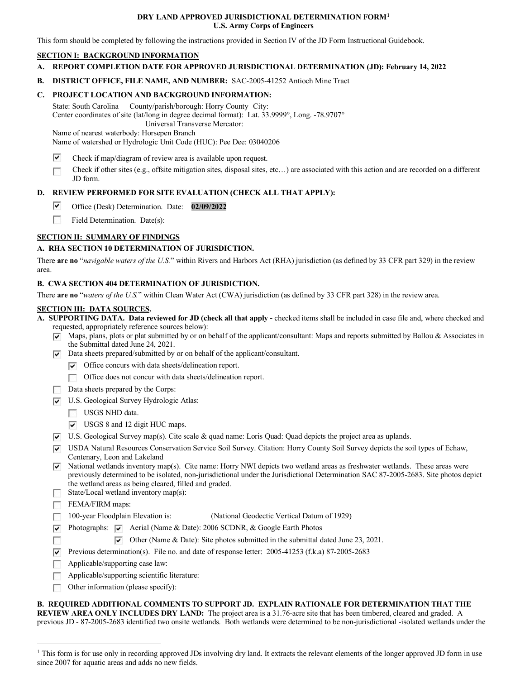#### **DRY LAND APPROVED JURISDICTIONAL DETERMINATION FOR[M1](#page-0-0) U.S. Army Corps of Engineers**

This form should be completed by following the instructions provided in Section IV of the JD Form Instructional Guidebook.

#### **SECTION I: BACKGROUND INFORMATION**

- **A. REPORT COMPLETION DATE FOR APPROVED JURISDICTIONAL DETERMINATION (JD): February 14, 2022**
- **B. DISTRICT OFFICE, FILE NAME, AND NUMBER:** SAC-2005-41252 Antioch Mine Tract

#### **C. PROJECT LOCATION AND BACKGROUND INFORMATION:**

State: South Carolina County/parish/borough: Horry County City: Center coordinates of site (lat/long in degree decimal format): Lat. 33.9999°, Long. -78.9707° Universal Transverse Mercator:

Name of nearest waterbody: Horsepen Branch

Name of watershed or Hydrologic Unit Code (HUC): Pee Dee: 03040206

- ⊽ Check if map/diagram of review area is available upon request.
- Check if other sites (e.g., offsite mitigation sites, disposal sites, etc…) are associated with this action and are recorded on a different П JD form.

# **D. REVIEW PERFORMED FOR SITE EVALUATION (CHECK ALL THAT APPLY):**

- ⊽ Office (Desk) Determination. Date: **02/09/2022**
- $\sim$ Field Determination. Date(s):

## **SECTION II: SUMMARY OF FINDINGS**

## **A. RHA SECTION 10 DETERMINATION OF JURISDICTION.**

There **are no** "*navigable waters of the U.S.*" within Rivers and Harbors Act (RHA) jurisdiction (as defined by 33 CFR part 329) in the review area.

## **B. CWA SECTION 404 DETERMINATION OF JURISDICTION.**

There **are no** "*waters of the U.S.*" within Clean Water Act (CWA) jurisdiction (as defined by 33 CFR part 328) in the review area.

#### **SECTION III: DATA SOURCES.**

**A. SUPPORTING DATA. Data reviewed for JD (check all that apply -** checked items shall be included in case file and, where checked and requested, appropriately reference sources below):

- $\overline{\triangledown}$  Maps, plans, plots or plat submitted by or on behalf of the applicant/consultant: Maps and reports submitted by Ballou & Associates in the Submittal dated June 24, 2021.
- $\nabla$  Data sheets prepared/submitted by or on behalf of the applicant/consultant.
	- $\triangledown$  Office concurs with data sheets/delineation report.
		- Office does not concur with data sheets/delineation report.
- Data sheets prepared by the Corps:
- U.S. Geological Survey Hydrologic Atlas:
	- USGS NHD data.
	- USGS 8 and 12 digit HUC maps.
- $\overline{v}$  U.S. Geological Survey map(s). Cite scale & quad name: Loris Quad: Quad depicts the project area as uplands.
- USDA Natural Resources Conservation Service Soil Survey. Citation: Horry County Soil Survey depicts the soil types of Echaw, Centenary, Leon and Lakeland
- $\overline{\triangledown}$  National wetlands inventory map(s). Cite name: Horry NWI depicts two wetland areas as freshwater wetlands. These areas were previously determined to be isolated, non-jurisdictional under the Jurisdictional Determination SAC 87-2005-2683. Site photos depict the wetland areas as being cleared, filled and graded.
- State/Local wetland inventory map(s):

FEMA/FIRM maps:

m

- 100-year Floodplain Elevation is:(National Geodectic Vertical Datum of 1929)  $\Box$
- **Photographs:**  $\overline{v}$  Aerial (Name & Date): 2006 SCDNR, & Google Earth Photos
	- $\triangledown$  Other (Name & Date): Site photos submitted in the submittal dated June 23, 2021.
- Previous determination(s). File no. and date of response letter:  $2005-41253$  (f.k.a) 87-2005-2683
- Applicable/supporting case law:  $\Box$
- П Applicable/supporting scientific literature:
- Other information (please specify):  $\Box$

**B. REQUIRED ADDITIONAL COMMENTS TO SUPPORT JD. EXPLAIN RATIONALE FOR DETERMINATION THAT THE REVIEW AREA ONLY INCLUDES DRY LAND:** The project area is a 31.76-acre site that has been timbered, cleared and graded. A previous JD - 87-2005-2683 identified two onsite wetlands. Both wetlands were determined to be non-jurisdictional -isolated wetlands under the

<span id="page-0-0"></span><sup>&</sup>lt;sup>1</sup> This form is for use only in recording approved JDs involving dry land. It extracts the relevant elements of the longer approved JD form in use since 2007 for aquatic areas and adds no new fields.